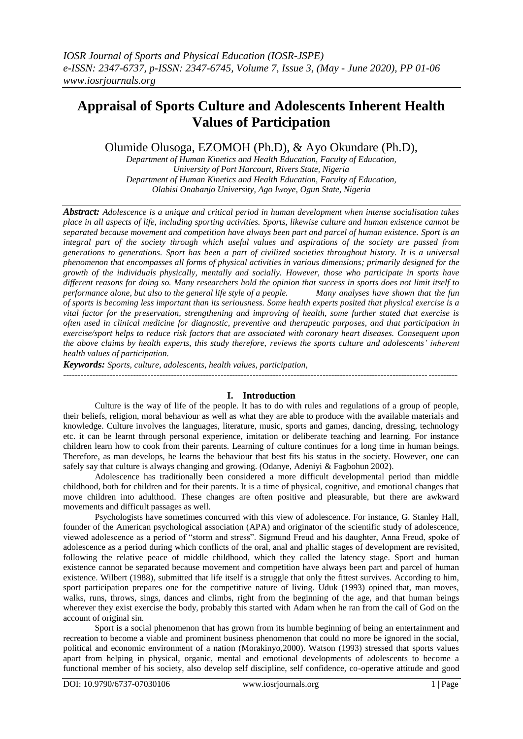# **Appraisal of Sports Culture and Adolescents Inherent Health Values of Participation**

Olumide Olusoga, EZOMOH (Ph.D), & Ayo Okundare (Ph.D),

*Department of Human Kinetics and Health Education, Faculty of Education, University of Port Harcourt, Rivers State, Nigeria Department of Human Kinetics and Health Education, Faculty of Education, Olabisi Onabanjo University, Ago Iwoye, Ogun State, Nigeria*

*Abstract: Adolescence is a unique and critical period in human development when intense socialisation takes place in all aspects of life, including sporting activities. Sports, likewise culture and human existence cannot be separated because movement and competition have always been part and parcel of human existence. Sport is an integral part of the society through which useful values and aspirations of the society are passed from generations to generations. Sport has been a part of civilized societies throughout history. It is a universal phenomenon that encompasses all forms of physical activities in various dimensions; primarily designed for the growth of the individuals physically, mentally and socially. However, those who participate in sports have different reasons for doing so. Many researchers hold the opinion that success in sports does not limit itself to performance alone, but also to the general life style of a people. Many analyses have shown that the fun of sports is becoming less important than its seriousness. Some health experts posited that physical exercise is a vital factor for the preservation, strengthening and improving of health, some further stated that exercise is often used in clinical medicine for diagnostic, preventive and therapeutic purposes, and that participation in exercise/sport helps to reduce risk factors that are associated with coronary heart diseases. Consequent upon the above claims by health experts, this study therefore, reviews the sports culture and adolescents' inherent health values of participation.*

*Keywords: Sports, culture, adolescents, health values, participation,* ---------------------------------------------------------------------------------------------------------------------------------------

## **I. Introduction**

Culture is the way of life of the people. It has to do with rules and regulations of a group of people, their beliefs, religion, moral behaviour as well as what they are able to produce with the available materials and knowledge. Culture involves the languages, literature, music, sports and games, dancing, dressing, technology etc. it can be learnt through personal experience, imitation or deliberate teaching and learning. For instance children learn how to cook from their parents. Learning of culture continues for a long time in human beings. Therefore, as man develops, he learns the behaviour that best fits his status in the society. However, one can safely say that culture is always changing and growing. (Odanye, Adeniyi & Fagbohun 2002).

Adolescence has traditionally been considered a more difficult developmental period than middle childhood, both for children and for their parents. It is a time of physical, cognitive, and emotional changes that move children into adulthood. These changes are often positive and pleasurable, but there are awkward movements and difficult passages as well.

Psychologists have sometimes concurred with this view of adolescence. For instance, G. Stanley Hall, founder of the American psychological association (APA) and originator of the scientific study of adolescence, viewed adolescence as a period of "storm and stress". Sigmund Freud and his daughter, Anna Freud, spoke of adolescence as a period during which conflicts of the oral, anal and phallic stages of development are revisited, following the relative peace of middle childhood, which they called the latency stage. Sport and human existence cannot be separated because movement and competition have always been part and parcel of human existence. Wilbert (1988), submitted that life itself is a struggle that only the fittest survives. According to him, sport participation prepares one for the competitive nature of living. Uduk (1993) opined that, man moves, walks, runs, throws, sings, dances and climbs, right from the beginning of the age, and that human beings wherever they exist exercise the body, probably this started with Adam when he ran from the call of God on the account of original sin.

Sport is a social phenomenon that has grown from its humble beginning of being an entertainment and recreation to become a viable and prominent business phenomenon that could no more be ignored in the social, political and economic environment of a nation (Morakinyo,2000). Watson (1993) stressed that sports values apart from helping in physical, organic, mental and emotional developments of adolescents to become a functional member of his society, also develop self discipline, self confidence, co-operative attitude and good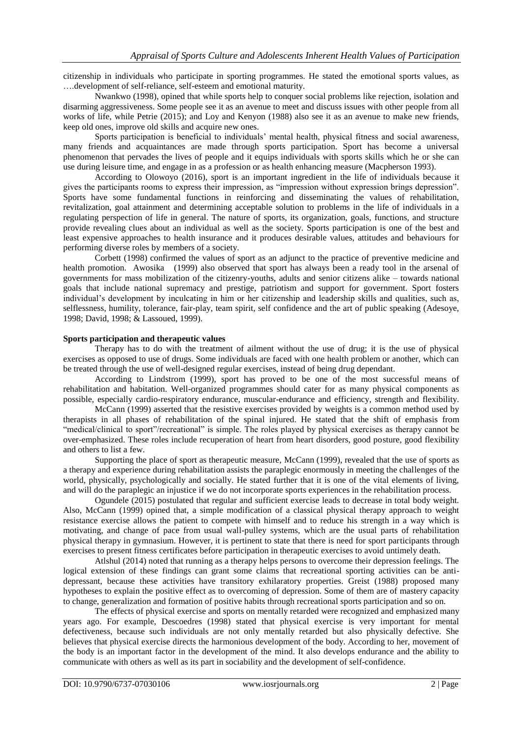citizenship in individuals who participate in sporting programmes. He stated the emotional sports values, as ….development of self-reliance, self-esteem and emotional maturity.

Nwankwo (1998), opined that while sports help to conquer social problems like rejection, isolation and disarming aggressiveness. Some people see it as an avenue to meet and discuss issues with other people from all works of life, while Petrie (2015); and Loy and Kenyon (1988) also see it as an avenue to make new friends, keep old ones, improve old skills and acquire new ones.

Sports participation is beneficial to individuals" mental health, physical fitness and social awareness, many friends and acquaintances are made through sports participation. Sport has become a universal phenomenon that pervades the lives of people and it equips individuals with sports skills which he or she can use during leisure time, and engage in as a profession or as health enhancing measure (Macpherson 1993).

According to Olowoyo (2016), sport is an important ingredient in the life of individuals because it gives the participants rooms to express their impression, as "impression without expression brings depression". Sports have some fundamental functions in reinforcing and disseminating the values of rehabilitation, revitalization, goal attainment and determining acceptable solution to problems in the life of individuals in a regulating perspection of life in general. The nature of sports, its organization, goals, functions, and structure provide revealing clues about an individual as well as the society. Sports participation is one of the best and least expensive approaches to health insurance and it produces desirable values, attitudes and behaviours for performing diverse roles by members of a society.

Corbett (1998) confirmed the values of sport as an adjunct to the practice of preventive medicine and health promotion. Awosika (1999) also observed that sport has always been a ready tool in the arsenal of governments for mass mobilization of the citizenry-youths, adults and senior citizens alike – towards national goals that include national supremacy and prestige, patriotism and support for government. Sport fosters individual"s development by inculcating in him or her citizenship and leadership skills and qualities, such as, selflessness, humility, tolerance, fair-play, team spirit, self confidence and the art of public speaking (Adesoye, 1998; David, 1998; & Lassoued, 1999).

#### **Sports participation and therapeutic values**

Therapy has to do with the treatment of ailment without the use of drug; it is the use of physical exercises as opposed to use of drugs. Some individuals are faced with one health problem or another, which can be treated through the use of well-designed regular exercises, instead of being drug dependant.

According to Lindstrom (1999), sport has proved to be one of the most successful means of rehabilitation and habitation. Well-organized programmes should cater for as many physical components as possible, especially cardio-respiratory endurance, muscular-endurance and efficiency, strength and flexibility.

McCann (1999) asserted that the resistive exercises provided by weights is a common method used by therapists in all phases of rehabilitation of the spinal injured. He stated that the shift of emphasis from "medical/clinical to sport"/recreational" is simple. The roles played by physical exercises as therapy cannot be over-emphasized. These roles include recuperation of heart from heart disorders, good posture, good flexibility and others to list a few.

Supporting the place of sport as therapeutic measure, McCann (1999), revealed that the use of sports as a therapy and experience during rehabilitation assists the paraplegic enormously in meeting the challenges of the world, physically, psychologically and socially. He stated further that it is one of the vital elements of living, and will do the paraplegic an injustice if we do not incorporate sports experiences in the rehabilitation process.

Ogundele (2015) postulated that regular and sufficient exercise leads to decrease in total body weight. Also, McCann (1999) opined that, a simple modification of a classical physical therapy approach to weight resistance exercise allows the patient to compete with himself and to reduce his strength in a way which is motivating, and change of pace from usual wall-pulley systems, which are the usual parts of rehabilitation physical therapy in gymnasium. However, it is pertinent to state that there is need for sport participants through exercises to present fitness certificates before participation in therapeutic exercises to avoid untimely death.

Atlshul (2014) noted that running as a therapy helps persons to overcome their depression feelings. The logical extension of these findings can grant some claims that recreational sporting activities can be antidepressant, because these activities have transitory exhilaratory properties. Greist (1988) proposed many hypotheses to explain the positive effect as to overcoming of depression. Some of them are of mastery capacity to change, generalization and formation of positive habits through recreational sports participation and so on.

The effects of physical exercise and sports on mentally retarded were recognized and emphasized many years ago. For example, Descoedres (1998) stated that physical exercise is very important for mental defectiveness, because such individuals are not only mentally retarded but also physically defective. She believes that physical exercise directs the harmonious development of the body. According to her, movement of the body is an important factor in the development of the mind. It also develops endurance and the ability to communicate with others as well as its part in sociability and the development of self-confidence.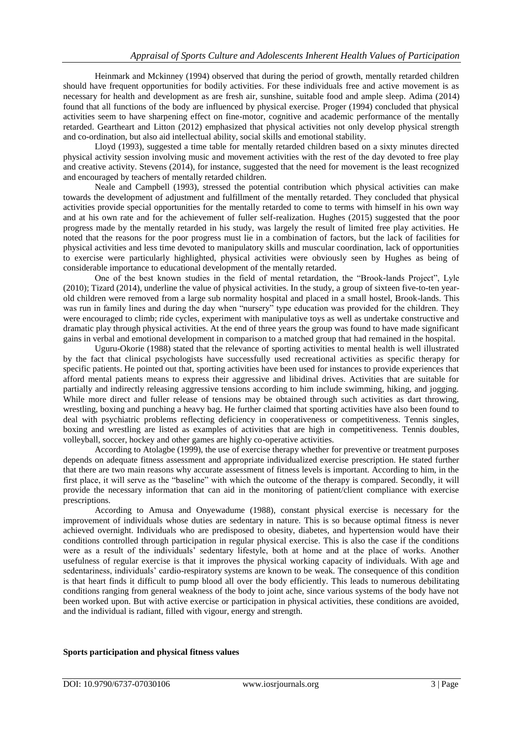Heinmark and Mckinney (1994) observed that during the period of growth, mentally retarded children should have frequent opportunities for bodily activities. For these individuals free and active movement is as necessary for health and development as are fresh air, sunshine, suitable food and ample sleep. Adima (2014) found that all functions of the body are influenced by physical exercise. Proger (1994) concluded that physical activities seem to have sharpening effect on fine-motor, cognitive and academic performance of the mentally retarded. Geartheart and Litton (2012) emphasized that physical activities not only develop physical strength and co-ordination, but also aid intellectual ability, social skills and emotional stability.

Lloyd (1993), suggested a time table for mentally retarded children based on a sixty minutes directed physical activity session involving music and movement activities with the rest of the day devoted to free play and creative activity. Stevens (2014), for instance, suggested that the need for movement is the least recognized and encouraged by teachers of mentally retarded children.

Neale and Campbell (1993), stressed the potential contribution which physical activities can make towards the development of adjustment and fulfillment of the mentally retarded. They concluded that physical activities provide special opportunities for the mentally retarded to come to terms with himself in his own way and at his own rate and for the achievement of fuller self-realization. Hughes (2015) suggested that the poor progress made by the mentally retarded in his study, was largely the result of limited free play activities. He noted that the reasons for the poor progress must lie in a combination of factors, but the lack of facilities for physical activities and less time devoted to manipulatory skills and muscular coordination, lack of opportunities to exercise were particularly highlighted, physical activities were obviously seen by Hughes as being of considerable importance to educational development of the mentally retarded.

One of the best known studies in the field of mental retardation, the "Brook-lands Project", Lyle (2010); Tizard (2014), underline the value of physical activities. In the study, a group of sixteen five-to-ten yearold children were removed from a large sub normality hospital and placed in a small hostel, Brook-lands. This was run in family lines and during the day when "nursery" type education was provided for the children. They were encouraged to climb; ride cycles, experiment with manipulative toys as well as undertake constructive and dramatic play through physical activities. At the end of three years the group was found to have made significant gains in verbal and emotional development in comparison to a matched group that had remained in the hospital.

Uguru-Okorie (1988) stated that the relevance of sporting activities to mental health is well illustrated by the fact that clinical psychologists have successfully used recreational activities as specific therapy for specific patients. He pointed out that, sporting activities have been used for instances to provide experiences that afford mental patients means to express their aggressive and libidinal drives. Activities that are suitable for partially and indirectly releasing aggressive tensions according to him include swimming, hiking, and jogging. While more direct and fuller release of tensions may be obtained through such activities as dart throwing, wrestling, boxing and punching a heavy bag. He further claimed that sporting activities have also been found to deal with psychiatric problems reflecting deficiency in cooperativeness or competitiveness. Tennis singles, boxing and wrestling are listed as examples of activities that are high in competitiveness. Tennis doubles, volleyball, soccer, hockey and other games are highly co-operative activities.

According to Atolagbe (1999), the use of exercise therapy whether for preventive or treatment purposes depends on adequate fitness assessment and appropriate individualized exercise prescription. He stated further that there are two main reasons why accurate assessment of fitness levels is important. According to him, in the first place, it will serve as the "baseline" with which the outcome of the therapy is compared. Secondly, it will provide the necessary information that can aid in the monitoring of patient/client compliance with exercise prescriptions.

According to Amusa and Onyewadume (1988), constant physical exercise is necessary for the improvement of individuals whose duties are sedentary in nature. This is so because optimal fitness is never achieved overnight. Individuals who are predisposed to obesity, diabetes, and hypertension would have their conditions controlled through participation in regular physical exercise. This is also the case if the conditions were as a result of the individuals" sedentary lifestyle, both at home and at the place of works. Another usefulness of regular exercise is that it improves the physical working capacity of individuals. With age and sedentariness, individuals' cardio-respiratory systems are known to be weak. The consequence of this condition is that heart finds it difficult to pump blood all over the body efficiently. This leads to numerous debilitating conditions ranging from general weakness of the body to joint ache, since various systems of the body have not been worked upon. But with active exercise or participation in physical activities, these conditions are avoided, and the individual is radiant, filled with vigour, energy and strength.

## **Sports participation and physical fitness values**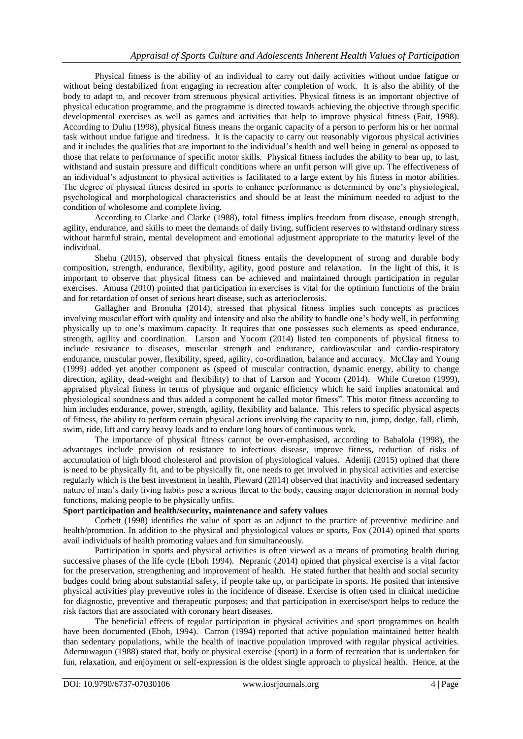Physical fitness is the ability of an individual to carry out daily activities without undue fatigue or without being destabilized from engaging in recreation after completion of work. It is also the ability of the body to adapt to, and recover from strenuous physical activities. Physical fitness is an important objective of physical education programme, and the programme is directed towards achieving the objective through specific developmental exercises as well as games and activities that help to improve physical fitness (Fait, 1998). According to Duhu (1998), physical fitness means the organic capacity of a person to perform his or her normal task without undue fatigue and tiredness. It is the capacity to carry out reasonably vigorous physical activities and it includes the qualities that are important to the individual"s health and well being in general as opposed to those that relate to performance of specific motor skills. Physical fitness includes the ability to bear up, to last, withstand and sustain pressure and difficult conditions where an unfit person will give up. The effectiveness of an individual"s adjustment to physical activities is facilitated to a large extent by his fitness in motor abilities. The degree of physical fitness desired in sports to enhance performance is determined by one"s physiological, psychological and morphological characteristics and should be at least the minimum needed to adjust to the condition of wholesome and complete living.

According to Clarke and Clarke (1988), total fitness implies freedom from disease, enough strength, agility, endurance, and skills to meet the demands of daily living, sufficient reserves to withstand ordinary stress without harmful strain, mental development and emotional adjustment appropriate to the maturity level of the individual.

Shehu (2015), observed that physical fitness entails the development of strong and durable body composition, strength, endurance, flexibility, agility, good posture and relaxation. In the light of this, it is important to observe that physical fitness can be achieved and maintained through participation in regular exercises. Amusa (2010) pointed that participation in exercises is vital for the optimum functions of the brain and for retardation of onset of serious heart disease, such as arterioclerosis.

Gallagher and Bronuha (2014), stressed that physical fitness implies such concepts as practices involving muscular effort with quality and intensity and also the ability to handle one"s body well, in performing physically up to one"s maximum capacity. It requires that one possesses such elements as speed endurance, strength, agility and coordination. Larson and Yocom (2014) listed ten components of physical fitness to include resistance to diseases, muscular strength and endurance, cardiovascular and cardio-respiratory endurance, muscular power, flexibility, speed, agility, co-ordination, balance and accuracy. McClay and Young (1999) added yet another component as (speed of muscular contraction, dynamic energy, ability to change direction, agility, dead-weight and flexibility) to that of Larson and Yocom (2014). While Cureton (1999), appraised physical fitness in terms of physique and organic efficiency which he said implies anatomical and physiological soundness and thus added a component he called motor fitness". This motor fitness according to him includes endurance, power, strength, agility, flexibility and balance. This refers to specific physical aspects of fitness, the ability to perform certain physical actions involving the capacity to run, jump, dodge, fall, climb, swim, ride, lift and carry heavy loads and to endure long hours of continuous work.

The importance of physical fitness cannot be over-emphasised, according to Babalola (1998), the advantages include provision of resistance to infectious disease, improve fitness, reduction of risks of accumulation of high blood cholesterol and provision of physiological values. Adeniji (2015) opined that there is need to be physically fit, and to be physically fit, one needs to get involved in physical activities and exercise regularly which is the best investment in health, Pleward (2014) observed that inactivity and increased sedentary nature of man"s daily living habits pose a serious threat to the body, causing major deterioration in normal body functions, making people to be physically unfits.

## **Sport participation and health/security, maintenance and safety values**

Corbett (1998) identifies the value of sport as an adjunct to the practice of preventive medicine and health/promotion. In addition to the physical and physiological values or sports, Fox (2014) opined that sports avail individuals of health promoting values and fun simultaneously.

Participation in sports and physical activities is often viewed as a means of promoting health during successive phases of the life cycle (Eboh 1994). Nepranic (2014) opined that physical exercise is a vital factor for the preservation, strengthening and improvement of health. He stated further that health and social security budges could bring about substantial safety, if people take up, or participate in sports. He posited that intensive physical activities play preventive roles in the incidence of disease. Exercise is often used in clinical medicine for diagnostic, preventive and therapeutic purposes; and that participation in exercise/sport helps to reduce the risk factors that are associated with coronary heart diseases.

The beneficial effects of regular participation in physical activities and sport programmes on health have been documented (Eboh, 1994). Carron (1994) reported that active population maintained better health than sedentary populations, while the health of inactive population improved with regular physical activities. Ademuwagun (1988) stated that, body or physical exercise (sport) in a form of recreation that is undertaken for fun, relaxation, and enjoyment or self-expression is the oldest single approach to physical health. Hence, at the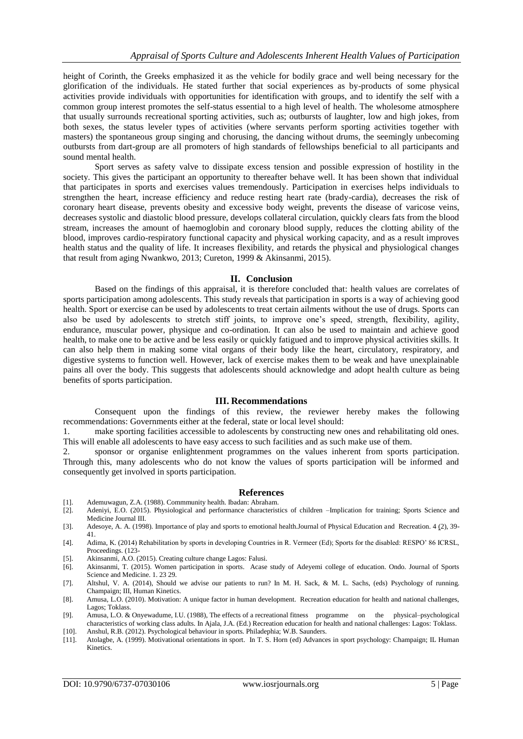height of Corinth, the Greeks emphasized it as the vehicle for bodily grace and well being necessary for the glorification of the individuals. He stated further that social experiences as by-products of some physical activities provide individuals with opportunities for identification with groups, and to identify the self with a common group interest promotes the self-status essential to a high level of health. The wholesome atmosphere that usually surrounds recreational sporting activities, such as; outbursts of laughter, low and high jokes, from both sexes, the status leveler types of activities (where servants perform sporting activities together with masters) the spontaneous group singing and chorusing, the dancing without drums, the seemingly unbecoming outbursts from dart-group are all promoters of high standards of fellowships beneficial to all participants and sound mental health.

Sport serves as safety valve to dissipate excess tension and possible expression of hostility in the society. This gives the participant an opportunity to thereafter behave well. It has been shown that individual that participates in sports and exercises values tremendously. Participation in exercises helps individuals to strengthen the heart, increase efficiency and reduce resting heart rate (brady-cardia), decreases the risk of coronary heart disease, prevents obesity and excessive body weight, prevents the disease of varicose veins, decreases systolic and diastolic blood pressure, develops collateral circulation, quickly clears fats from the blood stream, increases the amount of haemoglobin and coronary blood supply, reduces the clotting ability of the blood, improves cardio-respiratory functional capacity and physical working capacity, and as a result improves health status and the quality of life. It increases flexibility, and retards the physical and physiological changes that result from aging Nwankwo, 2013; Cureton, 1999 & Akinsanmi, 2015).

#### **II. Conclusion**

Based on the findings of this appraisal, it is therefore concluded that: health values are correlates of sports participation among adolescents. This study reveals that participation in sports is a way of achieving good health. Sport or exercise can be used by adolescents to treat certain ailments without the use of drugs. Sports can also be used by adolescents to stretch stiff joints, to improve one"s speed, strength, flexibility, agility, endurance, muscular power, physique and co-ordination. It can also be used to maintain and achieve good health, to make one to be active and be less easily or quickly fatigued and to improve physical activities skills. It can also help them in making some vital organs of their body like the heart, circulatory, respiratory, and digestive systems to function well. However, lack of exercise makes them to be weak and have unexplainable pains all over the body. This suggests that adolescents should acknowledge and adopt health culture as being benefits of sports participation.

#### **III. Recommendations**

Consequent upon the findings of this review, the reviewer hereby makes the following recommendations: Governments either at the federal, state or local level should:

1. make sporting facilities accessible to adolescents by constructing new ones and rehabilitating old ones. This will enable all adolescents to have easy access to such facilities and as such make use of them.

2. sponsor or organise enlightenment programmes on the values inherent from sports participation. Through this, many adolescents who do not know the values of sports participation will be informed and consequently get involved in sports participation.

## **References**

- [1]. Ademuwagun, Z.A. (1988). Commmunity health. Ibadan: Abraham.
- Adeniyi, E.O. (2015). Physiological and performance characteristics of children –Implication for training; Sports Science and Medicine Journal III.
- [3]. Adesoye, A. A. (1998). Importance of play and sports to emotional health.Journal of Physical Education and Recreation. 4 (2), 39- 41.
- [4]. Adima, K. (2014) Rehabilitation by sports in developing Countries in R. Vermeer (Ed); Sports for the disabled: RESPO" 86 ICRSL, Proceedings. (123-
- [5]. Akinsanmi, A.O. (2015). Creating culture change Lagos: Falusi.
- [6]. Akinsanmi, T. (2015). Women participation in sports. Acase study of Adeyemi college of education. Ondo. Journal of Sports Science and Medicine. 1. 23 29.
- [7]. Altshul, V. A. (2014), Should we advise our patients to run? In M. H. Sack, & M. L. Sachs, (eds) Psychology of running. Champaign; III, Human Kinetics.
- [8]. Amusa, L.O. (2010). Motivation: A unique factor in human development. Recreation education for health and national challenges, Lagos; Toklass.
- [9]. Amusa, L.O. & Onyewadume, I.U. (1988), The effects of a recreational fitness programme on the physical–psychological characteristics of working class adults. In Ajala, J.A. (Ed.) Recreation education for health and national challenges: Lagos: Toklass.
- [10]. Anshul, R.B. (2012). Psychological behaviour in sports. Philadephia; W.B. Saunders.
- [11]. Atolagbe, A. (1999). Motivational orientations in sport. In T. S. Horn (ed) Advances in sport psychology: Champaign; IL Human Kinetics.